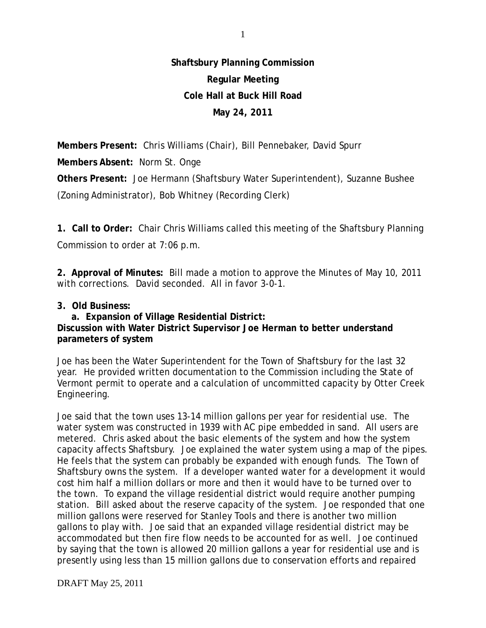## **Shaftsbury Planning Commission Regular Meeting Cole Hall at Buck Hill Road May 24, 2011**

**Members Present:** Chris Williams (Chair), Bill Pennebaker, David Spurr **Members Absent:** Norm St. Onge **Others Present:** Joe Hermann (Shaftsbury Water Superintendent), Suzanne Bushee (Zoning Administrator), Bob Whitney (Recording Clerk)

**1. Call to Order:** Chair Chris Williams called this meeting of the Shaftsbury Planning Commission to order at 7:06 p.m.

**2. Approval of Minutes:** Bill made a motion to approve the Minutes of May 10, 2011 with corrections. David seconded. All in favor 3-0-1.

## **3. Old Business:**

 **a. Expansion of Village Residential District: Discussion with Water District Supervisor Joe Herman to better understand parameters of system**

Joe has been the Water Superintendent for the Town of Shaftsbury for the last 32 year. He provided written documentation to the Commission including the State of Vermont permit to operate and a calculation of uncommitted capacity by Otter Creek Engineering.

Joe said that the town uses 13-14 million gallons per year for residential use. The water system was constructed in 1939 with AC pipe embedded in sand. All users are metered. Chris asked about the basic elements of the system and how the system capacity affects Shaftsbury. Joe explained the water system using a map of the pipes. He feels that the system can probably be expanded with enough funds. The Town of Shaftsbury owns the system. If a developer wanted water for a development it would cost him half a million dollars or more and then it would have to be turned over to the town. To expand the village residential district would require another pumping station. Bill asked about the reserve capacity of the system. Joe responded that one million gallons were reserved for Stanley Tools and there is another two million gallons to play with. Joe said that an expanded village residential district may be accommodated but then fire flow needs to be accounted for as well. Joe continued by saying that the town is allowed 20 million gallons a year for residential use and is presently using less than 15 million gallons due to conservation efforts and repaired

DRAFT May 25, 2011